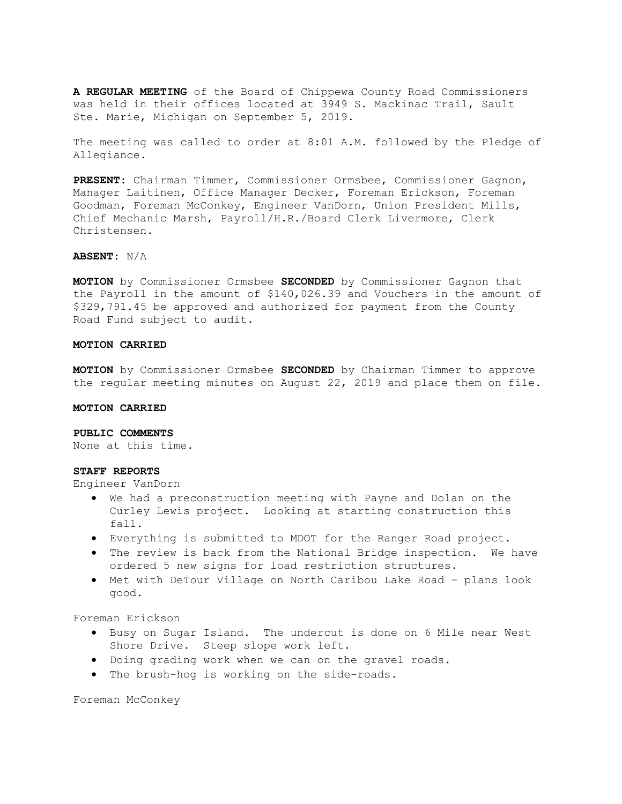A REGULAR MEETING of the Board of Chippewa County Road Commissioners was held in their offices located at 3949 S. Mackinac Trail, Sault Ste. Marie, Michigan on September 5, 2019.

The meeting was called to order at 8:01 A.M. followed by the Pledge of Allegiance.

PRESENT: Chairman Timmer, Commissioner Ormsbee, Commissioner Gagnon, Manager Laitinen, Office Manager Decker, Foreman Erickson, Foreman Goodman, Foreman McConkey, Engineer VanDorn, Union President Mills, Chief Mechanic Marsh, Payroll/H.R./Board Clerk Livermore, Clerk Christensen.

# ABSENT: N/A

MOTION by Commissioner Ormsbee SECONDED by Commissioner Gagnon that the Payroll in the amount of \$140,026.39 and Vouchers in the amount of \$329,791.45 be approved and authorized for payment from the County Road Fund subject to audit.

#### MOTION CARRIED

MOTION by Commissioner Ormsbee SECONDED by Chairman Timmer to approve the regular meeting minutes on August 22, 2019 and place them on file.

# MOTION CARRIED

## PUBLIC COMMENTS

None at this time.

## STAFF REPORTS

Engineer VanDorn

- We had a preconstruction meeting with Payne and Dolan on the Curley Lewis project. Looking at starting construction this fall.
- Everything is submitted to MDOT for the Ranger Road project.
- The review is back from the National Bridge inspection. We have ordered 5 new signs for load restriction structures.
- Met with DeTour Village on North Caribou Lake Road plans look good.

Foreman Erickson

- Busy on Sugar Island. The undercut is done on 6 Mile near West Shore Drive. Steep slope work left.
- Doing grading work when we can on the gravel roads.
- The brush-hog is working on the side-roads.

Foreman McConkey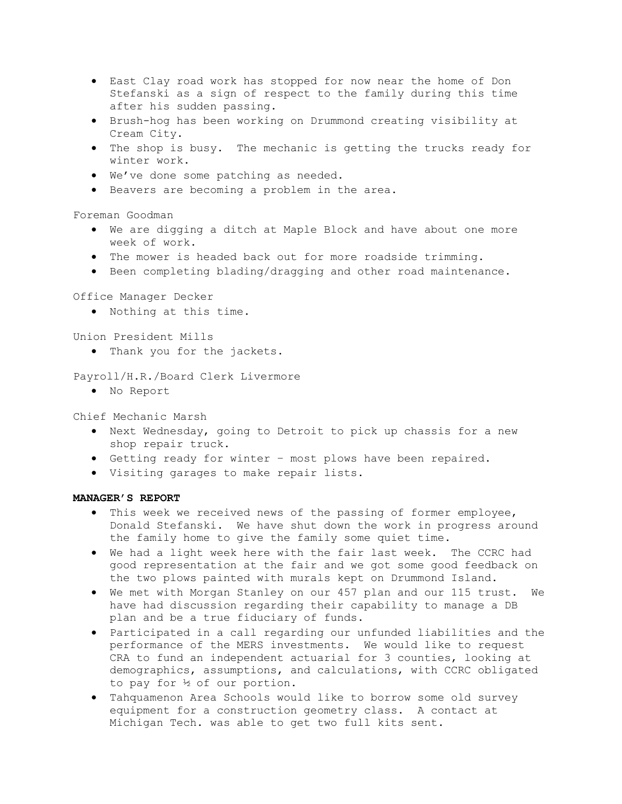- East Clay road work has stopped for now near the home of Don Stefanski as a sign of respect to the family during this time after his sudden passing.
- Brush-hog has been working on Drummond creating visibility at Cream City.
- The shop is busy. The mechanic is getting the trucks ready for winter work.
- We've done some patching as needed.
- Beavers are becoming a problem in the area.

Foreman Goodman

- We are digging a ditch at Maple Block and have about one more week of work.
- The mower is headed back out for more roadside trimming.
- Been completing blading/dragging and other road maintenance.

Office Manager Decker

Nothing at this time.

Union President Mills

. Thank you for the jackets.

Payroll/H.R./Board Clerk Livermore

No Report

Chief Mechanic Marsh

- Next Wednesday, going to Detroit to pick up chassis for a new shop repair truck.
- Getting ready for winter most plows have been repaired.
- Visiting garages to make repair lists.

# MANAGER'S REPORT

- This week we received news of the passing of former employee, Donald Stefanski. We have shut down the work in progress around the family home to give the family some quiet time.
- We had a light week here with the fair last week. The CCRC had good representation at the fair and we got some good feedback on the two plows painted with murals kept on Drummond Island.
- We met with Morgan Stanley on our 457 plan and our 115 trust. We have had discussion regarding their capability to manage a DB plan and be a true fiduciary of funds.
- Participated in a call regarding our unfunded liabilities and the performance of the MERS investments. We would like to request CRA to fund an independent actuarial for 3 counties, looking at demographics, assumptions, and calculations, with CCRC obligated to pay for ½ of our portion.
- Tahquamenon Area Schools would like to borrow some old survey equipment for a construction geometry class. A contact at Michigan Tech. was able to get two full kits sent.